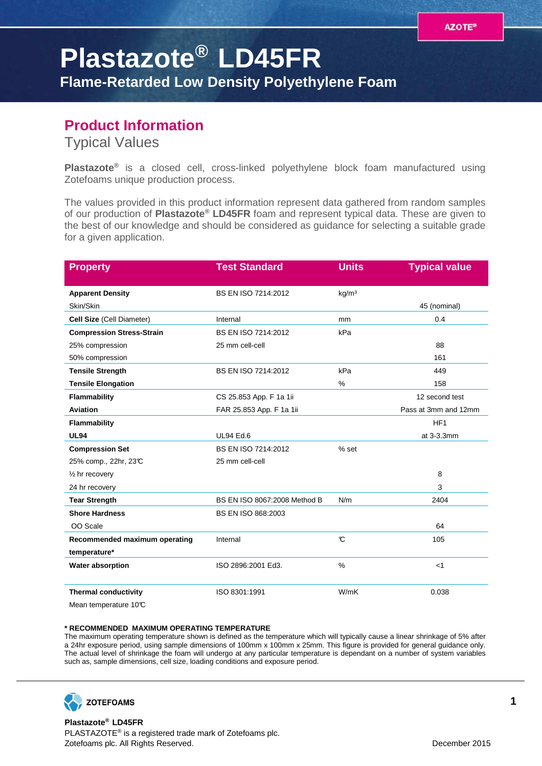## **Plastazote® LD45FR**

**Flame-Retarded Low Density Polyethylene Foam**

## **Product Information**

Typical Values

**Plastazote®** is a closed cell, cross-linked polyethylene block foam manufactured using Zotefoams unique production process.

The values provided in this product information represent data gathered from random samples of our production of **Plastazote® LD45FR** foam and represent typical data. These are given to the best of our knowledge and should be considered as guidance for selecting a suitable grade for a given application.

| <b>Property</b>                  | <b>Test Standard</b>         | <b>Units</b>      | <b>Typical value</b> |
|----------------------------------|------------------------------|-------------------|----------------------|
| <b>Apparent Density</b>          | BS EN ISO 7214:2012          | kg/m <sup>3</sup> |                      |
| Skin/Skin                        |                              |                   | 45 (nominal)         |
| Cell Size (Cell Diameter)        | Internal                     | <sub>mm</sub>     | 0.4                  |
| <b>Compression Stress-Strain</b> | BS EN ISO 7214:2012          | kPa               |                      |
| 25% compression                  | 25 mm cell-cell              |                   | 88                   |
| 50% compression                  |                              |                   | 161                  |
| <b>Tensile Strength</b>          | BS EN ISO 7214:2012          | kPa               | 449                  |
| <b>Tensile Elongation</b>        |                              | %                 | 158                  |
| Flammability                     | CS 25.853 App. F 1a 1ii      |                   | 12 second test       |
| <b>Aviation</b>                  | FAR 25.853 App. F 1a 1ii     |                   | Pass at 3mm and 12mm |
| Flammability                     |                              |                   | HF <sub>1</sub>      |
| <b>UL94</b>                      | <b>UL94 Ed.6</b>             |                   | at 3-3.3mm           |
| <b>Compression Set</b>           | BS EN ISO 7214:2012          | % set             |                      |
| 25% comp., 22hr, 23°C            | 25 mm cell-cell              |                   |                      |
| $\frac{1}{2}$ hr recovery        |                              |                   | 8                    |
| 24 hr recovery                   |                              |                   | 3                    |
| <b>Tear Strength</b>             | BS EN ISO 8067:2008 Method B | N/m               | 2404                 |
| <b>Shore Hardness</b>            | <b>BS EN ISO 868:2003</b>    |                   |                      |
| OO Scale                         |                              |                   | 64                   |
| Recommended maximum operating    | Internal                     | $\mathcal{C}$     | 105                  |
| temperature*                     |                              |                   |                      |
| Water absorption                 | ISO 2896:2001 Ed3.           | %                 | $<$ 1                |
| <b>Thermal conductivity</b>      | ISO 8301:1991                | W/mK              | 0.038                |
| Mean temperature 10°C            |                              |                   |                      |

## **\* RECOMMENDED MAXIMUM OPERATING TEMPERATURE**

The maximum operating temperature shown is defined as the temperature which will typically cause a linear shrinkage of 5% after a 24hr exposure period, using sample dimensions of 100mm x 100mm x 25mm. This figure is provided for general guidance only. The actual level of shrinkage the foam will undergo at any particular temperature is dependant on a number of system variables such as, sample dimensions, cell size, loading conditions and exposure period.



**Plastazote® LD45FR** PLASTAZOTE® is a registered trade mark of Zotefoams plc. Zotefoams plc. All Rights Reserved. December 2015